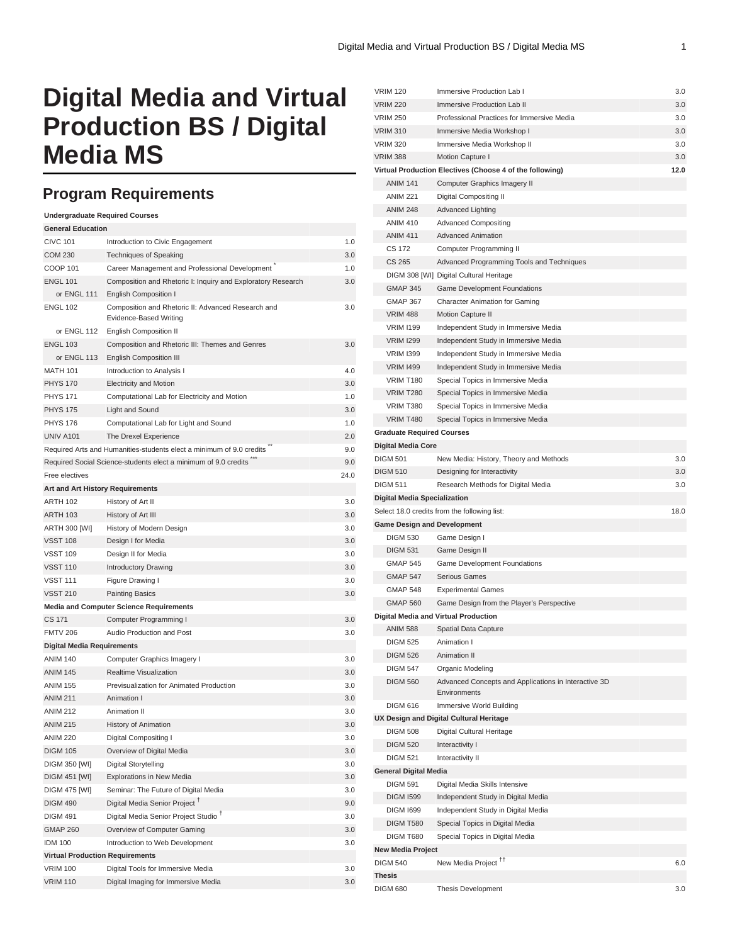# **Digital Media and Virtual Production BS / Digital Media MS**

## **Program Requirements**

| <b>Undergraduate Required Courses</b>  |                                                                              |      |
|----------------------------------------|------------------------------------------------------------------------------|------|
| <b>General Education</b>               |                                                                              |      |
| <b>CIVC 101</b>                        | Introduction to Civic Engagement                                             | 1.0  |
| <b>COM 230</b>                         | <b>Techniques of Speaking</b>                                                | 3.0  |
| <b>COOP 101</b>                        | Career Management and Professional Development                               | 1.0  |
| <b>ENGL 101</b>                        | Composition and Rhetoric I: Inquiry and Exploratory Research                 | 3.0  |
| or ENGL 111                            | <b>English Composition I</b>                                                 |      |
| <b>ENGL 102</b>                        | Composition and Rhetoric II: Advanced Research and<br>Evidence-Based Writing | 3.0  |
| or ENGL 112                            | <b>English Composition II</b>                                                |      |
| <b>ENGL 103</b>                        | Composition and Rhetoric III: Themes and Genres                              | 3.0  |
| or ENGL 113                            | <b>English Composition III</b>                                               |      |
| <b>MATH 101</b>                        | Introduction to Analysis I                                                   | 4.0  |
| <b>PHYS 170</b>                        | <b>Electricity and Motion</b>                                                | 3.0  |
| <b>PHYS 171</b>                        | Computational Lab for Electricity and Motion                                 | 1.0  |
| <b>PHYS 175</b>                        | Light and Sound                                                              | 3.0  |
| <b>PHYS 176</b>                        | Computational Lab for Light and Sound                                        | 1.0  |
| UNIV A101                              | The Drexel Experience                                                        | 2.0  |
|                                        | Required Arts and Humanities-students elect a minimum of 9.0 credits         | 9.0  |
|                                        | Required Social Science-students elect a minimum of 9.0 credits              | 9.0  |
| Free electives                         |                                                                              | 24.0 |
| Art and Art History Requirements       |                                                                              |      |
| <b>ARTH 102</b>                        | History of Art II                                                            | 3.0  |
| <b>ARTH 103</b>                        | History of Art III                                                           | 3.0  |
| ARTH 300 [WI]                          | History of Modern Design                                                     | 3.0  |
| <b>VSST 108</b>                        | Design I for Media                                                           | 3.0  |
| <b>VSST 109</b>                        | Design II for Media                                                          | 3.0  |
| <b>VSST 110</b>                        | Introductory Drawing                                                         | 3.0  |
| <b>VSST 111</b>                        | Figure Drawing I                                                             | 3.0  |
| <b>VSST 210</b>                        | <b>Painting Basics</b>                                                       | 3.0  |
|                                        | <b>Media and Computer Science Requirements</b>                               |      |
| <b>CS 171</b>                          | Computer Programming I                                                       | 3.0  |
| <b>FMTV 206</b>                        | Audio Production and Post                                                    | 3.0  |
| <b>Digital Media Requirements</b>      |                                                                              |      |
| <b>ANIM 140</b>                        | Computer Graphics Imagery I                                                  | 3.0  |
| <b>ANIM 145</b>                        | Realtime Visualization                                                       | 3.0  |
| <b>ANIM 155</b>                        | Previsualization for Animated Production                                     | 3.0  |
| <b>ANIM 211</b>                        | Animation I                                                                  | 3.0  |
| <b>ANIM 212</b>                        | Animation II                                                                 | 3.0  |
| <b>ANIM 215</b>                        | <b>History of Animation</b>                                                  | 3.0  |
| <b>ANIM 220</b>                        | Digital Compositing I                                                        | 3.0  |
| <b>DIGM 105</b>                        | Overview of Digital Media                                                    | 3.0  |
| <b>DIGM 350 [WI]</b>                   | Digital Storytelling                                                         | 3.0  |
| DIGM 451 [WI]                          | <b>Explorations in New Media</b>                                             | 3.0  |
| DIGM 475 [WI]                          | Seminar: The Future of Digital Media                                         | 3.0  |
| <b>DIGM 490</b>                        | Digital Media Senior Project T                                               | 9.0  |
| <b>DIGM 491</b>                        | Digital Media Senior Project Studio <sup>T</sup>                             | 3.0  |
| <b>GMAP 260</b>                        | Overview of Computer Gaming                                                  | 3.0  |
| <b>IDM 100</b>                         | Introduction to Web Development                                              | 3.0  |
| <b>Virtual Production Requirements</b> |                                                                              |      |
| <b>VRIM 100</b>                        | Digital Tools for Immersive Media                                            | 3.0  |
| <b>VRIM 110</b>                        | Digital Imaging for Immersive Media                                          | 3.0  |

| <b>VRIM 120</b>                     | Immersive Production Lab I                                   | 3.0  |
|-------------------------------------|--------------------------------------------------------------|------|
| <b>VRIM 220</b>                     | Immersive Production Lab II                                  | 3.0  |
| <b>VRIM 250</b>                     | Professional Practices for Immersive Media                   | 3.0  |
| <b>VRIM 310</b>                     | Immersive Media Workshop I                                   | 3.0  |
| <b>VRIM 320</b>                     | Immersive Media Workshop II                                  | 3.0  |
| <b>VRIM 388</b>                     | Motion Capture I                                             | 3.0  |
|                                     | Virtual Production Electives (Choose 4 of the following)     | 12.0 |
| <b>ANIM 141</b>                     | Computer Graphics Imagery II                                 |      |
| <b>ANIM 221</b>                     | Digital Compositing II                                       |      |
| <b>ANIM 248</b>                     | <b>Advanced Lighting</b>                                     |      |
| <b>ANIM 410</b>                     | <b>Advanced Compositing</b>                                  |      |
| <b>ANIM 411</b>                     | <b>Advanced Animation</b>                                    |      |
| <b>CS 172</b>                       | Computer Programming II                                      |      |
| <b>CS 265</b>                       | Advanced Programming Tools and Techniques                    |      |
|                                     | DIGM 308 [WI] Digital Cultural Heritage                      |      |
| <b>GMAP 345</b>                     | Game Development Foundations                                 |      |
| <b>GMAP 367</b>                     | Character Animation for Gaming                               |      |
| <b>VRIM 488</b>                     | Motion Capture II                                            |      |
| <b>VRIM I199</b>                    | Independent Study in Immersive Media                         |      |
| <b>VRIM I299</b>                    | Independent Study in Immersive Media                         |      |
| <b>VRIM I399</b>                    | Independent Study in Immersive Media                         |      |
| <b>VRIM 1499</b>                    | Independent Study in Immersive Media                         |      |
| <b>VRIM T180</b>                    | Special Topics in Immersive Media                            |      |
| <b>VRIM T280</b>                    | Special Topics in Immersive Media                            |      |
| VRIM T380                           | Special Topics in Immersive Media                            |      |
| <b>VRIM T480</b>                    | Special Topics in Immersive Media                            |      |
| <b>Graduate Required Courses</b>    |                                                              |      |
| <b>Digital Media Core</b>           |                                                              |      |
| <b>DIGM 501</b>                     | New Media: History, Theory and Methods                       | 3.0  |
| <b>DIGM 510</b>                     | Designing for Interactivity                                  | 3.0  |
| <b>DIGM 511</b>                     | Research Methods for Digital Media                           | 3.0  |
| <b>Digital Media Specialization</b> |                                                              |      |
|                                     | Select 18.0 credits from the following list:                 | 18.0 |
| <b>Game Design and Development</b>  |                                                              |      |
| <b>DIGM 530</b>                     | Game Design I                                                |      |
| <b>DIGM 531</b>                     | Game Design II                                               |      |
| <b>GMAP 545</b>                     | Game Development Foundations                                 |      |
| <b>GMAP 547</b>                     | <b>Serious Games</b>                                         |      |
| <b>GMAP 548</b>                     | <b>Experimental Games</b>                                    |      |
| <b>GMAP 560</b>                     | Game Design from the Player's Perspective                    |      |
|                                     | Digital Media and Virtual Production<br>Spatial Data Capture |      |
| <b>ANIM 588</b><br><b>DIGM 525</b>  | Animation I                                                  |      |
| <b>DIGM 526</b>                     | <b>Animation II</b>                                          |      |
| <b>DIGM 547</b>                     | Organic Modeling                                             |      |
| <b>DIGM 560</b>                     | Advanced Concepts and Applications in Interactive 3D         |      |
|                                     | Environments                                                 |      |
| <b>DIGM 616</b>                     | Immersive World Building                                     |      |
|                                     | UX Design and Digital Cultural Heritage                      |      |
| <b>DIGM 508</b>                     | Digital Cultural Heritage                                    |      |
| <b>DIGM 520</b>                     | Interactivity I                                              |      |
| <b>DIGM 521</b>                     | Interactivity II                                             |      |
| <b>General Digital Media</b>        |                                                              |      |
| <b>DIGM 591</b>                     | Digital Media Skills Intensive                               |      |
| <b>DIGM 1599</b>                    | Independent Study in Digital Media                           |      |
| <b>DIGM 1699</b>                    | Independent Study in Digital Media                           |      |
| <b>DIGM T580</b>                    | Special Topics in Digital Media                              |      |
| <b>DIGM T680</b>                    | Special Topics in Digital Media                              |      |
| <b>New Media Project</b>            |                                                              |      |
| <b>DIGM 540</b>                     | New Media Project <sup>11</sup>                              | 6.0  |
| Thesis                              |                                                              |      |
| <b>DIGM 680</b>                     | Thesis Development                                           | 3.0  |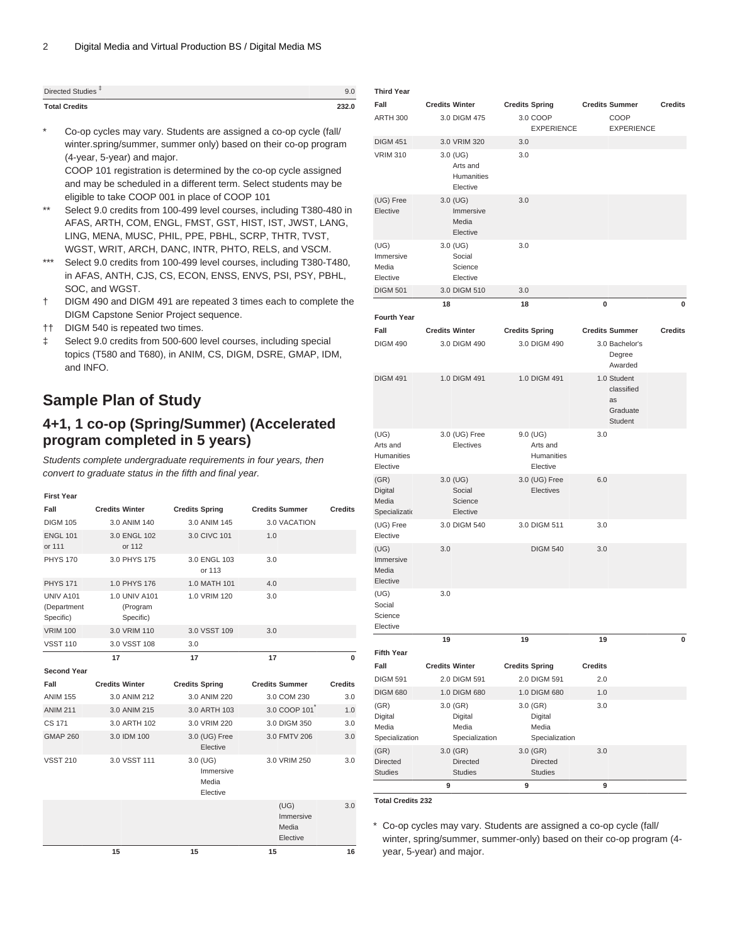| Directed Studies <sup>+</sup> | 9.U   |
|-------------------------------|-------|
| <b>Total Credits</b>          | 232.0 |

Co-op cycles may vary. Students are assigned a co-op cycle (fall/ winter.spring/summer, summer only) based on their co-op program (4-year, 5-year) and major. COOP 101 registration is determined by the co-op cycle assigned

and may be scheduled in a different term. Select students may be eligible to take COOP 001 in place of COOP 101

- \*\* Select 9.0 credits from 100-499 level courses, including T380-480 in AFAS, ARTH, COM, ENGL, FMST, GST, HIST, IST, JWST, LANG, LING, MENA, MUSC, PHIL, PPE, PBHL, SCRP, THTR, TVST, WGST, WRIT, ARCH, DANC, INTR, PHTO, RELS, and VSCM.
- \*\*\* Select 9.0 credits from 100-499 level courses, including T380-T480, in AFAS, ANTH, CJS, CS, ECON, ENSS, ENVS, PSI, PSY, PBHL, SOC, and WGST.
- † DIGM 490 and DIGM 491 are repeated 3 times each to complete the DIGM Capstone Senior Project sequence.
- †† DIGM 540 is repeated two times.
- ‡ Select 9.0 credits from 500-600 level courses, including special topics (T580 and T680), in ANIM, CS, DIGM, DSRE, GMAP, IDM, and INFO.

### **Sample Plan of Study**

#### **4+1, 1 co-op (Spring/Summer) (Accelerated program completed in 5 years)**

Students complete undergraduate requirements in four years, then convert to graduate status in the fifth and final year.

| <b>First Year</b>                            |                                        |                                              |                                        |                |
|----------------------------------------------|----------------------------------------|----------------------------------------------|----------------------------------------|----------------|
| Fall                                         | <b>Credits Winter</b>                  | <b>Credits Spring</b>                        | <b>Credits Summer</b>                  | <b>Credits</b> |
| <b>DIGM 105</b>                              | 3.0 ANIM 140                           | 3.0 ANIM 145                                 | 3.0 VACATION                           |                |
| <b>ENGL 101</b><br>or 111                    | 3.0 ENGL 102<br>or 112                 | 3.0 CIVC 101                                 | 1.0                                    |                |
| <b>PHYS 170</b>                              | 3.0 PHYS 175                           | 3.0 ENGL 103<br>or 113                       | 3.0                                    |                |
| <b>PHYS 171</b>                              | 1.0 PHYS 176                           | 1.0 MATH 101                                 | 4.0                                    |                |
| <b>UNIV A101</b><br>(Department<br>Specific) | 1.0 UNIV A101<br>(Program<br>Specific) | 1.0 VRIM 120                                 | 3.0                                    |                |
| <b>VRIM 100</b>                              | 3.0 VRIM 110                           | 3.0 VSST 109                                 | 3.0                                    |                |
| <b>VSST 110</b>                              | 3.0 VSST 108                           | 3.0                                          |                                        |                |
|                                              | 17                                     | 17                                           | 17                                     | $\bf{0}$       |
| <b>Second Year</b>                           |                                        |                                              |                                        |                |
|                                              |                                        |                                              |                                        |                |
| Fall                                         | <b>Credits Winter</b>                  | <b>Credits Spring</b>                        | <b>Credits Summer</b>                  | <b>Credits</b> |
| <b>ANIM 155</b>                              | 3.0 ANIM 212                           | 3.0 ANIM 220                                 | 3.0 COM 230                            | 3.0            |
| <b>ANIM 211</b>                              | 3.0 ANIM 215                           | 3.0 ARTH 103                                 | 3.0 COOP 101                           | 1.0            |
| CS 171                                       | 3.0 ARTH 102                           | 3.0 VRIM 220                                 | 3.0 DIGM 350                           | 3.0            |
| GMAP 260                                     | 3.0 IDM 100                            | 3.0 (UG) Free<br>Elective                    | 3.0 FMTV 206                           | 3.0            |
| <b>VSST 210</b>                              | 3.0 VSST 111                           | $3.0$ (UG)<br>Immersive<br>Media<br>Elective | 3.0 VRIM 250                           | 3.0            |
|                                              |                                        |                                              | (UG)<br>Immersive<br>Media<br>Elective | 3.0            |

| <b>Third Year</b>                          |                       |                                                 |     |                                                |                |                                                        |                |
|--------------------------------------------|-----------------------|-------------------------------------------------|-----|------------------------------------------------|----------------|--------------------------------------------------------|----------------|
| Fall                                       | <b>Credits Winter</b> |                                                 |     | <b>Credits Spring</b>                          |                | <b>Credits Summer</b>                                  | <b>Credits</b> |
| <b>ARTH 300</b>                            |                       | 3.0 DIGM 475                                    |     | 3.0 COOP<br><b>EXPERIENCE</b>                  |                | COOP<br><b>EXPERIENCE</b>                              |                |
| <b>DIGM 451</b>                            |                       | 3.0 VRIM 320                                    | 3.0 |                                                |                |                                                        |                |
| <b>VRIM 310</b>                            |                       | 3.0 (UG)<br>Arts and<br>Humanities<br>Elective  | 3.0 |                                                |                |                                                        |                |
| (UG) Free<br>Elective                      |                       | $3.0$ (UG)<br>Immersive<br>Media<br>Elective    | 3.0 |                                                |                |                                                        |                |
| (UG)<br>Immersive<br>Media<br>Elective     |                       | 3.0 (UG)<br>Social<br>Science<br>Elective       | 3.0 |                                                |                |                                                        |                |
| <b>DIGM 501</b>                            |                       | 3.0 DIGM 510                                    | 3.0 |                                                |                |                                                        |                |
| <b>Fourth Year</b>                         | 18                    |                                                 | 18  |                                                | 0              |                                                        | 0              |
| Fall                                       | <b>Credits Winter</b> |                                                 |     | <b>Credits Spring</b>                          |                | <b>Credits Summer</b>                                  | <b>Credits</b> |
| <b>DIGM 490</b>                            |                       | 3.0 DIGM 490                                    |     | 3.0 DIGM 490                                   |                | 3.0 Bachelor's<br>Degree<br>Awarded                    |                |
| <b>DIGM 491</b>                            |                       | 1.0 DIGM 491                                    |     | 1.0 DIGM 491                                   |                | 1.0 Student<br>classified<br>as<br>Graduate<br>Student |                |
| (UG)<br>Arts and<br>Humanities<br>Elective |                       | 3.0 (UG) Free<br>Electives                      |     | 9.0 (UG)<br>Arts and<br>Humanities<br>Elective | 3.0            |                                                        |                |
| (GR)<br>Digital<br>Media<br>Specializatio  |                       | 3.0 (UG)<br>Social<br>Science<br>Elective       |     | 3.0 (UG) Free<br>Electives                     | 6.0            |                                                        |                |
| (UG) Free<br>Elective                      |                       | 3.0 DIGM 540                                    |     | 3.0 DIGM 511                                   | 3.0            |                                                        |                |
| (UG)<br>Immersive<br>Media<br>Elective     | 3.0                   |                                                 |     | <b>DIGM 540</b>                                | 3.0            |                                                        |                |
| (UG)<br>Social<br>Science<br>Elective      | 3.0                   |                                                 |     |                                                |                |                                                        |                |
|                                            | 19                    |                                                 | 19  |                                                | 19             |                                                        | 0              |
| <b>Fifth Year</b>                          |                       |                                                 |     |                                                |                |                                                        |                |
| Fall                                       | <b>Credits Winter</b> |                                                 |     | <b>Credits Spring</b>                          | <b>Credits</b> |                                                        |                |
| <b>DIGM 591</b>                            |                       | 2.0 DIGM 591                                    |     | 2.0 DIGM 591                                   | 2.0            |                                                        |                |
| <b>DIGM 680</b>                            |                       | 1.0 DIGM 680                                    |     | 1.0 DIGM 680                                   | 1.0            |                                                        |                |
| (GR)<br>Digital<br>Media<br>Specialization |                       | 3.0 (GR)<br>Digital<br>Media<br>Specialization  |     | 3.0 (GR)<br>Digital<br>Media<br>Specialization | 3.0            |                                                        |                |
| (GR)<br><b>Directed</b><br><b>Studies</b>  |                       | $3.0$ (GR)<br><b>Directed</b><br><b>Studies</b> |     | 3.0 (GR)<br><b>Directed</b><br><b>Studies</b>  | 3.0            |                                                        |                |
|                                            | 9                     |                                                 | 9   |                                                | 9              |                                                        |                |
|                                            |                       |                                                 |     |                                                |                |                                                        |                |

**Total Credits 232**

\* Co-op cycles may vary. Students are assigned a co-op cycle (fall/ winter, spring/summer, summer-only) based on their co-op program (4 year, 5-year) and major.